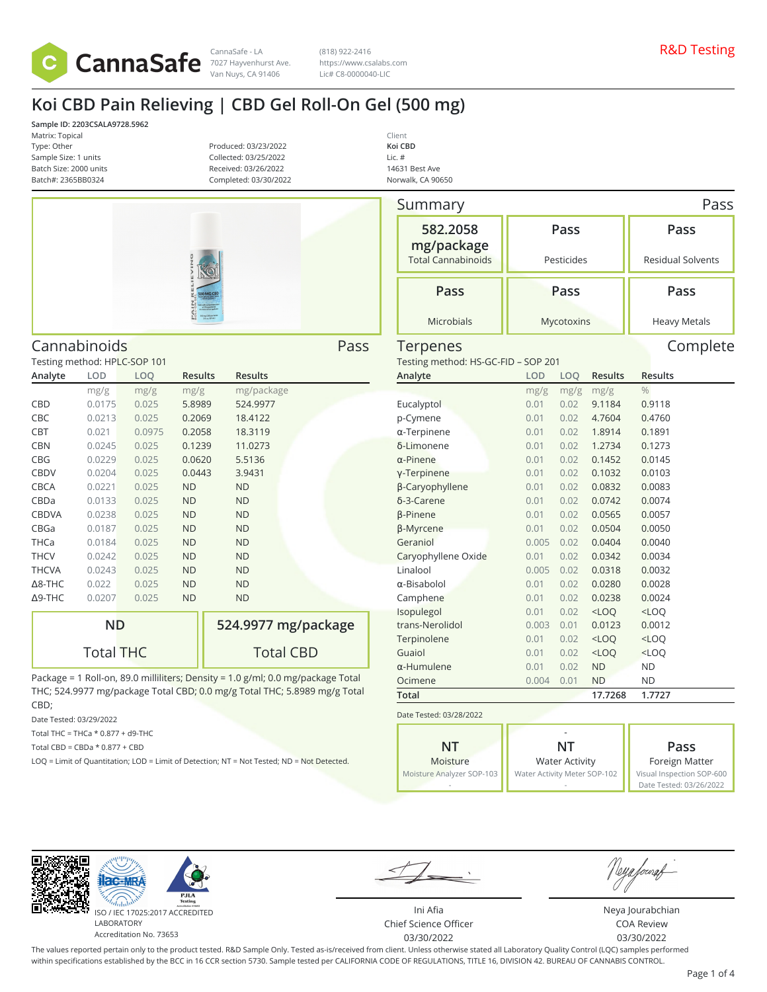

(818) 922-2416 https://www.csalabs.com Lic# C8-0000040-LIC

> Client **Koi CBD** Lic. # 14631 Best Ave Norwalk, CA 90650

# **Koi CBD Pain Relieving | CBD Gel Roll-On Gel (500 mg)**

**Sample ID: 2203CSALA9728.5962** Matrix: Topical Type: Other Sample Size: 1 units Batch Size: 2000 units Batch#: 2365BB0324

Produced: 03/23/2022 Collected: 03/25/2022 Received: 03/26/2022 Completed: 03/30/2022



| Cannabinoids<br>Pass |                              |        |                |                |  |  |
|----------------------|------------------------------|--------|----------------|----------------|--|--|
|                      | Testing method: HPLC-SOP 101 |        |                |                |  |  |
| Analyte              | LOD                          | LOQ    | <b>Results</b> | <b>Results</b> |  |  |
|                      | mg/g                         | mg/g   | mg/g           | mg/package     |  |  |
| CBD                  | 0.0175                       | 0.025  | 5.8989         | 524.9977       |  |  |
| CBC                  | 0.0213                       | 0.025  | 0.2069         | 18.4122        |  |  |
| CBT                  | 0.021                        | 0.0975 | 0.2058         | 18.3119        |  |  |
| <b>CBN</b>           | 0.0245                       | 0.025  | 0.1239         | 11.0273        |  |  |
| CBG                  | 0.0229                       | 0.025  | 0.0620         | 5.5136         |  |  |
| CBDV                 | 0.0204                       | 0.025  | 0.0443         | 3.9431         |  |  |
| CBCA                 | 0.0221                       | 0.025  | <b>ND</b>      | <b>ND</b>      |  |  |
| CBDa                 | 0.0133                       | 0.025  | <b>ND</b>      | <b>ND</b>      |  |  |
| <b>CBDVA</b>         | 0.0238                       | 0.025  | <b>ND</b>      | <b>ND</b>      |  |  |
| CBGa                 | 0.0187                       | 0.025  | <b>ND</b>      | <b>ND</b>      |  |  |
| THCa                 | 0.0184                       | 0.025  | <b>ND</b>      | <b>ND</b>      |  |  |
| <b>THCV</b>          | 0.0242                       | 0.025  | <b>ND</b>      | <b>ND</b>      |  |  |
| <b>THCVA</b>         | 0.0243                       | 0.025  | <b>ND</b>      | <b>ND</b>      |  |  |
| $\Delta$ 8-THC       | 0.022                        | 0.025  | <b>ND</b>      | <b>ND</b>      |  |  |
| Δ9-THC               | 0.0207                       | 0.025  | <b>ND</b>      | <b>ND</b>      |  |  |
|                      |                              |        |                |                |  |  |

| ND               | 524.9977 mg/package |  |  |  |  |
|------------------|---------------------|--|--|--|--|
| <b>Total THC</b> | <b>Total CBD</b>    |  |  |  |  |

Package = 1 Roll-on, 89.0 milliliters; Density = 1.0 g/ml; 0.0 mg/package Total THC; 524.9977 mg/package Total CBD; 0.0 mg/g Total THC; 5.8989 mg/g Total CBD;

Date Tested: 03/29/2022

Total THC = THCa \* 0.877 + d9-THC

Total CBD =  $CBDa * 0.877 + CBD$ 

LOQ = Limit of Quantitation; LOD = Limit of Detection; NT = Not Tested; ND = Not Detected.

| Summary                             |               | Pass         |                  |                          |
|-------------------------------------|---------------|--------------|------------------|--------------------------|
| 582.2058<br>mg/package              | Pass          |              |                  | Pass                     |
| <b>Total Cannabinoids</b>           | Pesticides    |              |                  | <b>Residual Solvents</b> |
| Pass                                |               | Pass         |                  | Pass                     |
| <b>Microbials</b>                   |               | Mycotoxins   |                  | <b>Heavy Metals</b>      |
| Terpenes                            |               |              |                  | Complete                 |
| Testing method: HS-GC-FID - SOP 201 |               |              |                  |                          |
| Analyte                             | <b>LOD</b>    | LOQ          | Results          | <b>Results</b>           |
|                                     | mg/g          | mg/g         | mg/g             | $\frac{0}{0}$            |
| Eucalyptol                          | 0.01          | 0.02         | 9.1184           | 0.9118                   |
| p-Cymene                            | 0.01          | 0.02         | 4.7604           | 0.4760                   |
| $\alpha$ -Terpinene                 | 0.01          | 0.02         | 1.8914           | 0.1891                   |
| δ-Limonene                          | 0.01          | 0.02         | 1.2734           | 0.1273                   |
| $\alpha$ -Pinene                    | 0.01          | 0.02         | 0.1452           | 0.0145                   |
| y-Terpinene                         | 0.01          | 0.02         | 0.1032           | 0.0103                   |
| β-Caryophyllene                     | 0.01          | 0.02         | 0.0832           | 0.0083                   |
| δ-3-Carene                          | 0.01          | 0.02         | 0.0742           | 0.0074                   |
| <b>B-Pinene</b>                     | 0.01          | 0.02         | 0.0565           | 0.0057                   |
| <b>ß-Myrcene</b>                    | 0.01          | 0.02         | 0.0504           | 0.0050                   |
| Geraniol                            | 0.005         | 0.02<br>0.02 | 0.0404           | 0.0040                   |
| Caryophyllene Oxide<br>Linalool     | 0.01<br>0.005 | 0.02         | 0.0342<br>0.0318 | 0.0034<br>0.0032         |
| $\alpha$ -Bisabolol                 | 0.01          | 0.02         | 0.0280           | 0.0028                   |
| Camphene                            | 0.01          | 0.02         | 0.0238           | 0.0024                   |
| Isopulegol                          | 0.01          | 0.02         | $<$ LOQ          | <loq< td=""></loq<>      |
| trans-Nerolidol                     | 0.003         | 0.01         | 0.0123           | 0.0012                   |
| Terpinolene                         | 0.01          | 0.02         | $<$ LOQ          | $<$ LOQ                  |
| Guaiol                              | 0.01          | 0.02         | $<$ LOQ          | $<$ LOQ                  |
| α-Humulene                          | 0.01          | 0.02         | <b>ND</b>        | ND                       |
| Ocimene                             | 0.004         | 0.01         | <b>ND</b>        | ΝD                       |
| <b>Total</b>                        |               |              | 17.7268          | 1.7727                   |
| Date Tested: 03/28/2022             |               |              |                  |                          |
|                                     |               |              |                  |                          |

| NT                        | NΤ                           | Pass                      |
|---------------------------|------------------------------|---------------------------|
| Moisture                  | <b>Water Activity</b>        | Foreign Matter            |
| Moisture Analyzer SOP-103 | Water Activity Meter SOP-102 | Visual Inspection SOP-600 |
|                           |                              | Date Tested: 03/26/2022   |



ISO / IEC 17025:2017 ACCREDITED Accreditation No. 73653

Ini Afia Chief Science Officer 03/30/2022

Neya fouraf

Neya Jourabchian COA Review 03/30/2022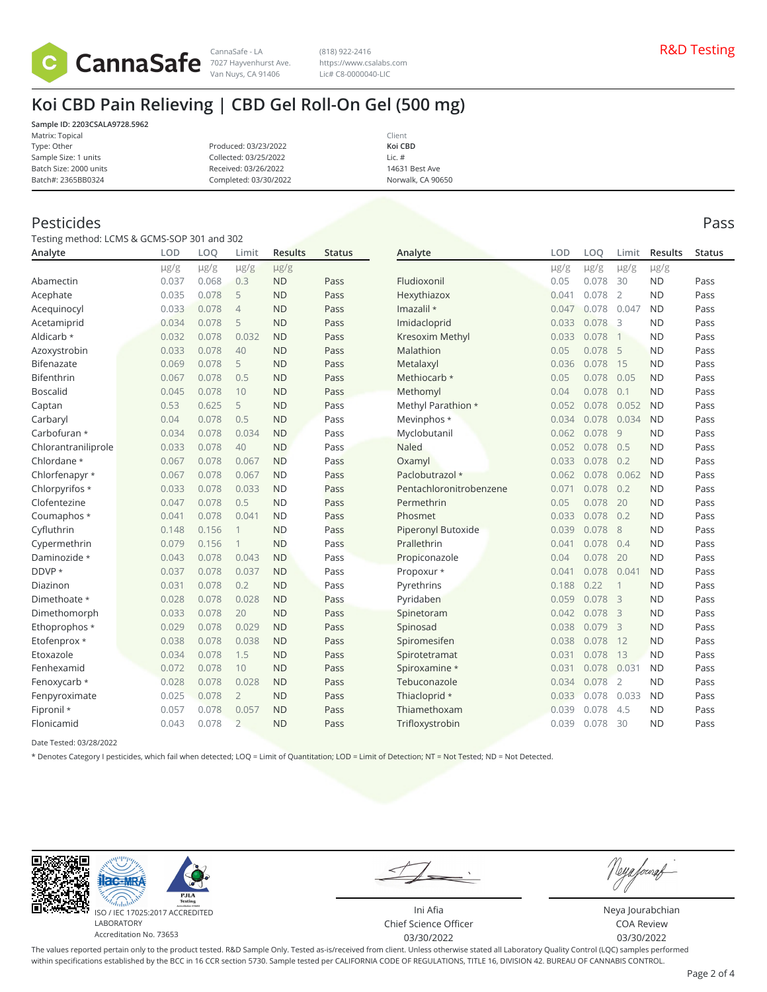

CannaSafe - LA R&D Testing 7027 Hayvenhurst Ave. (818) 922-2416 https://www.csalabs.com Lic# C8-0000040-LIC

# **Koi CBD Pain Relieving | CBD Gel Roll-On Gel (500 mg)**

**Sample ID: 2203CSALA9728.5962** Matrix: Topical Type: Other Sample Size: 1 units

Produced: 03/23/2022 Collected: 03/25/2022 Received: 03/26/2022 Completed: 03/30/2022

Client **Koi CBD** Lic. # 14631 Best Ave Norwalk, CA 90650

### Pesticides Pass

Batch Size: 2000 units Batch#: 2365BB0324

Testing method: LCMS & GCMS-SOP 301 and 302

| Analyte             | LOD       | LOQ       | Limit          | <b>Results</b> | <b>Status</b> | Analyte                   | LOD   | LOO       | Limit          | <b>Results</b> | <b>Status</b> |
|---------------------|-----------|-----------|----------------|----------------|---------------|---------------------------|-------|-----------|----------------|----------------|---------------|
|                     | $\mu$ g/g | $\mu$ g/g | $\mu$ g/g      | $\mu$ g/g      |               |                           | µg/g  | $\mu$ g/g | $\mu$ g/g      | $\mu$ g/g      |               |
| Abamectin           | 0.037     | 0.068     | 0.3            | <b>ND</b>      | Pass          | Fludioxonil               | 0.05  | 0.078     | 30             | <b>ND</b>      | Pass          |
| Acephate            | 0.035     | 0.078     | 5              | <b>ND</b>      | Pass          | Hexythiazox               | 0.041 | 0.078     | $\overline{2}$ | <b>ND</b>      | Pass          |
| Acequinocyl         | 0.033     | 0.078     | $\overline{4}$ | <b>ND</b>      | Pass          | Imazalil *                | 0.047 | 0.078     | 0.047          | <b>ND</b>      | Pass          |
| Acetamiprid         | 0.034     | 0.078     | 5              | <b>ND</b>      | Pass          | Imidacloprid              | 0.033 | 0.078     | 3              | <b>ND</b>      | Pass          |
| Aldicarb *          | 0.032     | 0.078     | 0.032          | <b>ND</b>      | Pass          | Kresoxim Methyl           | 0.033 | 0.078     | $\mathbf{1}$   | <b>ND</b>      | Pass          |
| Azoxystrobin        | 0.033     | 0.078     | 40             | <b>ND</b>      | Pass          | Malathion                 | 0.05  | 0.078     | 5              | <b>ND</b>      | Pass          |
| Bifenazate          | 0.069     | 0.078     | 5              | <b>ND</b>      | Pass          | Metalaxyl                 | 0.036 | 0.078     | 15             | <b>ND</b>      | Pass          |
| Bifenthrin          | 0.067     | 0.078     | 0.5            | <b>ND</b>      | Pass          | Methiocarb *              | 0.05  | 0.078     | 0.05           | <b>ND</b>      | Pass          |
| <b>Boscalid</b>     | 0.045     | 0.078     | 10             | <b>ND</b>      | Pass          | Methomyl                  | 0.04  | 0.078     | 0.1            | <b>ND</b>      | Pass          |
| Captan              | 0.53      | 0.625     | 5              | <b>ND</b>      | Pass          | Methyl Parathion *        | 0.052 | 0.078     | 0.052          | <b>ND</b>      | Pass          |
| Carbaryl            | 0.04      | 0.078     | 0.5            | <b>ND</b>      | Pass          | Mevinphos *               | 0.034 | 0.078     | 0.034          | <b>ND</b>      | Pass          |
| Carbofuran *        | 0.034     | 0.078     | 0.034          | <b>ND</b>      | Pass          | Myclobutanil              | 0.062 | 0.078     | 9              | <b>ND</b>      | Pass          |
| Chlorantraniliprole | 0.033     | 0.078     | 40             | <b>ND</b>      | Pass          | <b>Naled</b>              | 0.052 | 0.078     | 0.5            | <b>ND</b>      | Pass          |
| Chlordane *         | 0.067     | 0.078     | 0.067          | <b>ND</b>      | Pass          | Oxamyl                    | 0.033 | 0.078     | 0.2            | <b>ND</b>      | Pass          |
| Chlorfenapyr *      | 0.067     | 0.078     | 0.067          | <b>ND</b>      | Pass          | Paclobutrazol *           | 0.062 | 0.078     | 0.062          | <b>ND</b>      | Pass          |
| Chlorpyrifos *      | 0.033     | 0.078     | 0.033          | <b>ND</b>      | Pass          | Pentachloronitrobenzene   | 0.071 | 0.078     | 0.2            | <b>ND</b>      | Pass          |
| Clofentezine        | 0.047     | 0.078     | 0.5            | <b>ND</b>      | Pass          | Permethrin                | 0.05  | 0.078     | 20             | <b>ND</b>      | Pass          |
| Coumaphos *         | 0.041     | 0.078     | 0.041          | <b>ND</b>      | Pass          | Phosmet                   | 0.033 | 0.078     | 0.2            | <b>ND</b>      | Pass          |
| Cyfluthrin          | 0.148     | 0.156     |                | <b>ND</b>      | Pass          | <b>Piperonyl Butoxide</b> | 0.039 | 0.078     | 8              | <b>ND</b>      | Pass          |
| Cypermethrin        | 0.079     | 0.156     |                | <b>ND</b>      | Pass          | Prallethrin               | 0.041 | 0.078     | 0.4            | <b>ND</b>      | Pass          |
| Daminozide *        | 0.043     | 0.078     | 0.043          | <b>ND</b>      | Pass          | Propiconazole             | 0.04  | 0.078     | 20             | <b>ND</b>      | Pass          |
| DDVP *              | 0.037     | 0.078     | 0.037          | <b>ND</b>      | Pass          | Propoxur *                | 0.041 | 0.078     | 0.041          | <b>ND</b>      | Pass          |
| Diazinon            | 0.031     | 0.078     | 0.2            | <b>ND</b>      | Pass          | Pyrethrins                | 0.188 | 0.22      | $\mathbf{1}$   | <b>ND</b>      | Pass          |
| Dimethoate *        | 0.028     | 0.078     | 0.028          | <b>ND</b>      | Pass          | Pyridaben                 | 0.059 | 0.078     | 3              | <b>ND</b>      | Pass          |
| Dimethomorph        | 0.033     | 0.078     | 20             | <b>ND</b>      | Pass          | Spinetoram                | 0.042 | 0.078     | $\overline{3}$ | <b>ND</b>      | Pass          |
| Ethoprophos *       | 0.029     | 0.078     | 0.029          | <b>ND</b>      | Pass          | Spinosad                  | 0.038 | 0.079     | $\overline{3}$ | <b>ND</b>      | Pass          |
| Etofenprox *        | 0.038     | 0.078     | 0.038          | <b>ND</b>      | Pass          | Spiromesifen              | 0.038 | 0.078     | 12             | <b>ND</b>      | Pass          |
| Etoxazole           | 0.034     | 0.078     | 1.5            | <b>ND</b>      | Pass          | Spirotetramat             | 0.031 | 0.078     | 13             | <b>ND</b>      | Pass          |
| Fenhexamid          | 0.072     | 0.078     | 10             | <b>ND</b>      | Pass          | Spiroxamine *             | 0.031 | 0.078     | 0.031          | <b>ND</b>      | Pass          |
| Fenoxycarb *        | 0.028     | 0.078     | 0.028          | <b>ND</b>      | Pass          | Tebuconazole              | 0.034 | 0.078     | $\overline{2}$ | <b>ND</b>      | Pass          |
| Fenpyroximate       | 0.025     | 0.078     | $\overline{2}$ | <b>ND</b>      | Pass          | Thiacloprid *             | 0.033 | 0.078     | 0.033          | <b>ND</b>      | Pass          |
| Fipronil *          | 0.057     | 0.078     | 0.057          | <b>ND</b>      | Pass          | Thiamethoxam              | 0.039 | 0.078     | 4.5            | <b>ND</b>      | Pass          |
| Flonicamid          | 0.043     | 0.078     | $\overline{2}$ | <b>ND</b>      | Pass          | Trifloxystrobin           | 0.039 | 0.078     | 30             | <b>ND</b>      | Pass          |

Date Tested: 03/28/2022

\* Denotes Category I pesticides, which fail when detected; LOQ = Limit of Quantitation; LOD = Limit of Detection; NT = Not Tested; ND = Not Detected.



Neya fouraf

Ini Afia Chief Science Officer 03/30/2022

Neya Jourabchian COA Review 03/30/2022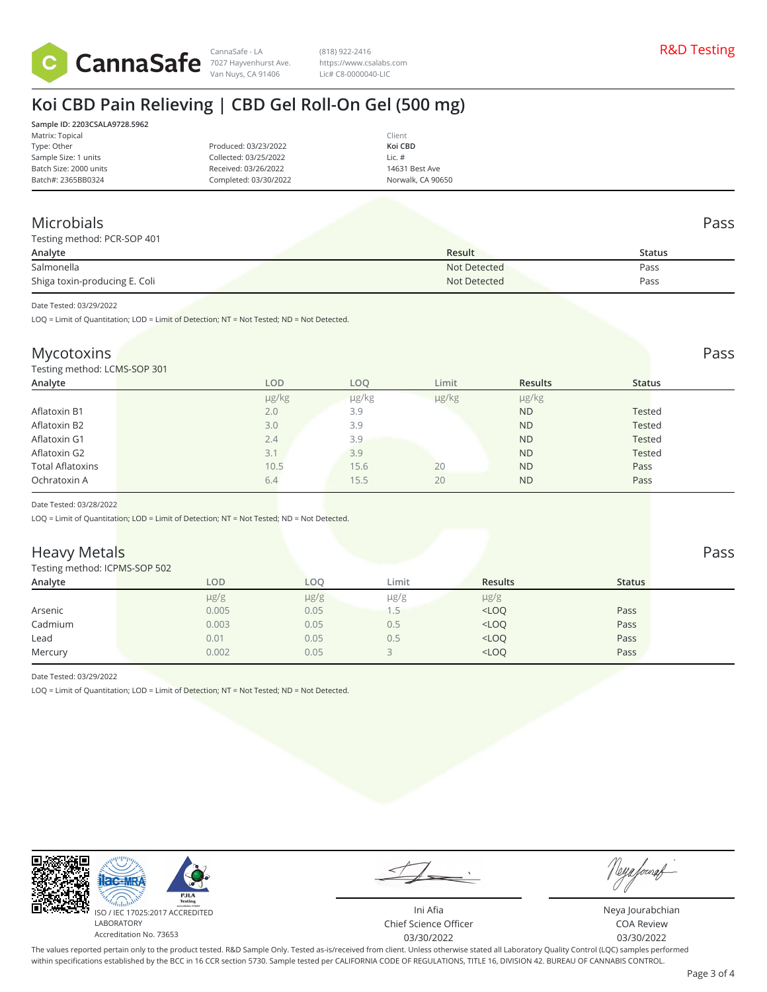

CannaSafe - LA R&D Testing 7027 Hayvenhurst Ave. (818) 922-2416 https://www.csalabs.com Lic# C8-0000040-LIC

# **Koi CBD Pain Relieving | CBD Gel Roll-On Gel (500 mg)**

|                       | Client            |
|-----------------------|-------------------|
| Produced: 03/23/2022  | Koi CBD           |
| Collected: 03/25/2022 | Lic. $#$          |
| Received: 03/26/2022  | 14631 Best Ave    |
| Completed: 03/30/2022 | Norwalk, CA 90650 |
|                       |                   |

### Microbials Pass

|  | Testing method: PCR-SOP 401 |  |
|--|-----------------------------|--|

| Testing method: PCR-SOP 401   |              |        |
|-------------------------------|--------------|--------|
| Analyte                       | Result       | Status |
| Salmonella                    | Not Detected | Pass   |
| Shiga toxin-producing E. Coli | Not Detected | Pass   |
|                               |              |        |

Date Tested: 03/29/2022

LOQ = Limit of Quantitation; LOD = Limit of Detection; NT = Not Tested; ND = Not Detected.

### Mycotoxins Pass and the contract of the contract of the contract of the contract of the contract of the contract of the contract of the contract of the contract of the contract of the contract of the contract of the contra

Testing method: LCMS-SOP 301

| $\sim$                  |     |       |       |            |                |               |
|-------------------------|-----|-------|-------|------------|----------------|---------------|
| Analyte                 |     | LOD   | LOO   | Limit      | <b>Results</b> | <b>Status</b> |
|                         |     | µg/kg | µg/kg | $\mu$ g/kg | µg/kg          |               |
| Aflatoxin B1            | 2.0 |       | 3.9   |            | <b>ND</b>      | Tested        |
| Aflatoxin B2            | 3.0 |       | 3.9   |            | <b>ND</b>      | <b>Tested</b> |
| Aflatoxin G1            | 2.4 |       | 3.9   |            | <b>ND</b>      | Tested        |
| Aflatoxin G2            | 3.1 |       | 3.9   |            | <b>ND</b>      | <b>Tested</b> |
| <b>Total Aflatoxins</b> |     | 10.5  | 15.6  | 20         | <b>ND</b>      | Pass          |
| Ochratoxin A            | 6.4 |       | 15.5  | 20         | <b>ND</b>      | Pass          |
|                         |     |       |       |            |                |               |

Date Tested: 03/28/2022

LOQ = Limit of Quantitation; LOD = Limit of Detection; NT = Not Tested; ND = Not Detected.

### **Heavy Metals** Pass Pass **Pass**

#### Testing method: ICPMS-SOP 502

| <b>I COULTE THE LITTLE INTO-DOT DUZ</b> |           |            |           |                |               |  |
|-----------------------------------------|-----------|------------|-----------|----------------|---------------|--|
| Analyte                                 | LOD       | <b>LOO</b> | Limit     | <b>Results</b> | <b>Status</b> |  |
|                                         | $\mu$ g/g | $\mu$ g/g  | $\mu$ g/g | $\mu$ g/g      |               |  |
| Arsenic                                 | 0.005     | 0.05       |           | $<$ LOQ        | Pass          |  |
| Cadmium                                 | 0.003     | 0.05       | 0.5       | $<$ LOQ        | Pass          |  |
| Lead                                    | 0.01      | 0.05       | 0.5       | $<$ LOQ        | Pass          |  |
| Mercury                                 | 0.002     | 0.05       |           | $<$ LOQ        | Pass          |  |
|                                         |           |            |           |                |               |  |

Date Tested: 03/29/2022

LOQ = Limit of Quantitation; LOD = Limit of Detection; NT = Not Tested; ND = Not Detected.



Neya fourat

Ini Afia Chief Science Officer 03/30/2022

Neya Jourabchian COA Review 03/30/2022